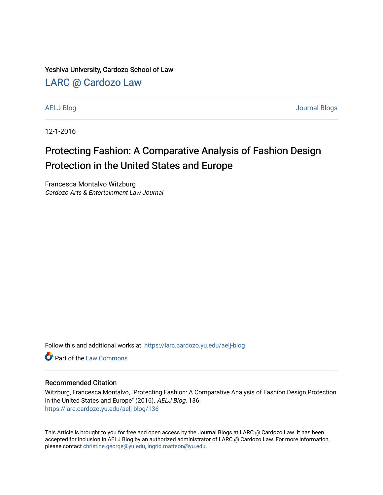Yeshiva University, Cardozo School of Law

# [LARC @ Cardozo Law](https://larc.cardozo.yu.edu/)

[AELJ Blog](https://larc.cardozo.yu.edu/aelj-blog) [Journal Blogs](https://larc.cardozo.yu.edu/journal-blogs) 

12-1-2016

# Protecting Fashion: A Comparative Analysis of Fashion Design Protection in the United States and Europe

Francesca Montalvo Witzburg Cardozo Arts & Entertainment Law Journal

Follow this and additional works at: [https://larc.cardozo.yu.edu/aelj-blog](https://larc.cardozo.yu.edu/aelj-blog?utm_source=larc.cardozo.yu.edu%2Faelj-blog%2F136&utm_medium=PDF&utm_campaign=PDFCoverPages) 

**C** Part of the [Law Commons](http://network.bepress.com/hgg/discipline/578?utm_source=larc.cardozo.yu.edu%2Faelj-blog%2F136&utm_medium=PDF&utm_campaign=PDFCoverPages)

#### Recommended Citation

Witzburg, Francesca Montalvo, "Protecting Fashion: A Comparative Analysis of Fashion Design Protection in the United States and Europe" (2016). AELJ Blog. 136. [https://larc.cardozo.yu.edu/aelj-blog/136](https://larc.cardozo.yu.edu/aelj-blog/136?utm_source=larc.cardozo.yu.edu%2Faelj-blog%2F136&utm_medium=PDF&utm_campaign=PDFCoverPages) 

This Article is brought to you for free and open access by the Journal Blogs at LARC @ Cardozo Law. It has been accepted for inclusion in AELJ Blog by an authorized administrator of LARC @ Cardozo Law. For more information, please contact [christine.george@yu.edu, ingrid.mattson@yu.edu.](mailto:christine.george@yu.edu,%20ingrid.mattson@yu.edu)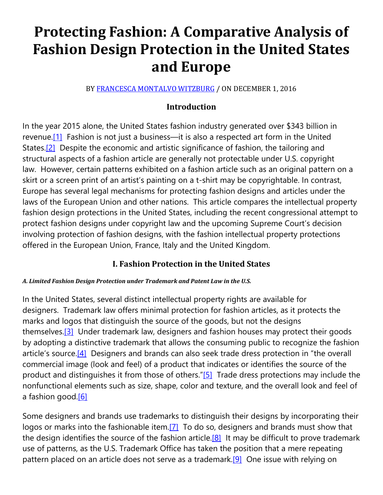# **Protecting Fashion: A Comparative Analysis of Fashion Design Protection in the United States and Europe**

BY [FRANCESCA MONTALVO WITZBURG](https://cardozoaelj.com/author/francesca-montalvo/) / ON DECEMBER 1, 2016

# **Introduction**

In the year 2015 alone, the United States fashion industry generated over \$343 billion in revenue.<sup>[1]</sup> Fashion is not just a business—it is also a respected art form in the United States[.\[2\]](https://cardozoaelj.com/2016/12/01/protecting-fashion-comparative-analysis-fashion-design-protection-united-states-europe/#_ftn2) Despite the economic and artistic significance of fashion, the tailoring and structural aspects of a fashion article are generally not protectable under U.S. copyright law. However, certain patterns exhibited on a fashion article such as an original pattern on a skirt or a screen print of an artist's painting on a t-shirt may be copyrightable. In contrast, Europe has several legal mechanisms for protecting fashion designs and articles under the laws of the European Union and other nations. This article compares the intellectual property fashion design protections in the United States, including the recent congressional attempt to protect fashion designs under copyright law and the upcoming Supreme Court's decision involving protection of fashion designs, with the fashion intellectual property protections offered in the European Union, France, Italy and the United Kingdom.

# **I. Fashion Protection in the United States**

#### *A. Limited Fashion Design Protection under Trademark and Patent Law in the U.S.*

In the United States, several distinct intellectual property rights are available for designers. Trademark law offers minimal protection for fashion articles, as it protects the marks and logos that distinguish the source of the goods, but not the designs themselves.<sup>[3]</sup> Under trademark law, designers and fashion houses may protect their goods by adopting a distinctive trademark that allows the consuming public to recognize the fashion article's source.<sup>[4]</sup> Designers and brands can also seek trade dress protection in "the overall commercial image (look and feel) of a product that indicates or identifies the source of the product and distinguishes it from those of others.["\[5\]](https://cardozoaelj.com/2016/12/01/protecting-fashion-comparative-analysis-fashion-design-protection-united-states-europe/#_ftn5) Trade dress protections may include the nonfunctional elements such as size, shape, color and texture, and the overall look and feel of a fashion good[.\[6\]](https://cardozoaelj.com/2016/12/01/protecting-fashion-comparative-analysis-fashion-design-protection-united-states-europe/#_ftn6)

Some designers and brands use trademarks to distinguish their designs by incorporating their logos or marks into the fashionable item.<sup>[7]</sup> To do so, designers and brands must show that the design identifies the source of the fashion article.<sup>[8]</sup> It may be difficult to prove trademark use of patterns, as the U.S. Trademark Office has taken the position that a mere repeating pattern placed on an article does not serve as a trademark.<sup>[9]</sup> One issue with relying on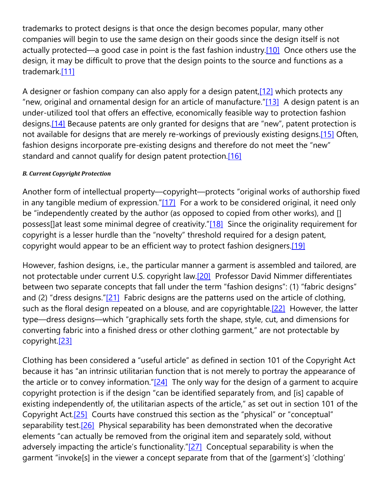trademarks to protect designs is that once the design becomes popular, many other companies will begin to use the same design on their goods since the design itself is not actually protected—a good case in point is the fast fashion industry[.\[10\]](https://cardozoaelj.com/2016/12/01/protecting-fashion-comparative-analysis-fashion-design-protection-united-states-europe/#_ftn10) Once others use the design, it may be difficult to prove that the design points to the source and functions as a trademark[.\[11\]](https://cardozoaelj.com/2016/12/01/protecting-fashion-comparative-analysis-fashion-design-protection-united-states-europe/#_ftn11)

A designer or fashion company can also apply for a design patent,  $[12]$  which protects any "new, original and ornamental design for an article of manufacture." $[13]$  A design patent is an under-utilized tool that offers an effective, economically feasible way to protection fashion designs[.\[14\]](https://cardozoaelj.com/2016/12/01/protecting-fashion-comparative-analysis-fashion-design-protection-united-states-europe/#_ftn14) Because patents are only granted for designs that are "new", patent protection is not available for designs that are merely re-workings of previously existing designs[.\[15\]](https://cardozoaelj.com/2016/12/01/protecting-fashion-comparative-analysis-fashion-design-protection-united-states-europe/#_ftn15) Often, fashion designs incorporate pre-existing designs and therefore do not meet the "new" standard and cannot qualify for design patent protection.<sup>[16]</sup>

#### *B. Current Copyright Protection*

Another form of intellectual property—copyright—protects "original works of authorship fixed in any tangible medium of expression." $[17]$  For a work to be considered original, it need only be "independently created by the author (as opposed to copied from other works), and [] possess[]at least some minimal degree of creativity.["\[18\]](https://cardozoaelj.com/2016/12/01/protecting-fashion-comparative-analysis-fashion-design-protection-united-states-europe/#_ftn18) Since the originality requirement for copyright is a lesser hurdle than the "novelty" threshold required for a design patent, copyright would appear to be an efficient way to protect fashion designers.<sup>[19]</sup>

However, fashion designs, i.e., the particular manner a garment is assembled and tailored, are not protectable under current U.S. copyright law[.\[20\]](https://cardozoaelj.com/2016/12/01/protecting-fashion-comparative-analysis-fashion-design-protection-united-states-europe/#_ftn20) Professor David Nimmer differentiates between two separate concepts that fall under the term "fashion designs": (1) "fabric designs" and (2) "dress designs." $[21]$  Fabric designs are the patterns used on the article of clothing, such as the floral design repeated on a blouse, and are copyrightable.<sup>[22]</sup> However, the latter type—dress designs—which "graphically sets forth the shape, style, cut, and dimensions for converting fabric into a finished dress or other clothing garment," are not protectable by copyright[.\[23\]](https://cardozoaelj.com/2016/12/01/protecting-fashion-comparative-analysis-fashion-design-protection-united-states-europe/#_ftn23)

Clothing has been considered a "useful article" as defined in section 101 of the Copyright Act because it has "an intrinsic utilitarian function that is not merely to portray the appearance of the article or to convey information." $[24]$  The only way for the design of a garment to acquire copyright protection is if the design "can be identified separately from, and [is] capable of existing independently of, the utilitarian aspects of the article," as set out in section 101 of the Copyright Act[.\[25\]](https://cardozoaelj.com/2016/12/01/protecting-fashion-comparative-analysis-fashion-design-protection-united-states-europe/#_ftn25) Courts have construed this section as the "physical" or "conceptual" separability test.<sup>[26]</sup> Physical separability has been demonstrated when the decorative elements "can actually be removed from the original item and separately sold, without adversely impacting the article's functionality.["\[27\]](https://cardozoaelj.com/2016/12/01/protecting-fashion-comparative-analysis-fashion-design-protection-united-states-europe/#_ftn27) Conceptual separability is when the garment "invoke[s] in the viewer a concept separate from that of the [garment's] 'clothing'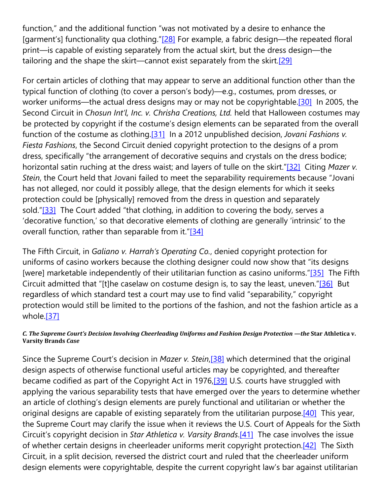function," and the additional function "was not motivated by a desire to enhance the [garment's] functionality qua clothing.["\[28\]](https://cardozoaelj.com/2016/12/01/protecting-fashion-comparative-analysis-fashion-design-protection-united-states-europe/#_ftn28) For example, a fabric design—the repeated floral print—is capable of existing separately from the actual skirt, but the dress design—the tailoring and the shape the skirt—cannot exist separately from the skirt.<sup>[29]</sup>

For certain articles of clothing that may appear to serve an additional function other than the typical function of clothing (to cover a person's body)—e.g., costumes, prom dresses, or worker uniforms—the actual dress designs may or may not be copyrightable.<sup>[30]</sup> In 2005, the Second Circuit in *Chosun Int'l, Inc. v. Chrisha Creations, Ltd.* held that Halloween costumes may be protected by copyright if the costume's design elements can be separated from the overall function of the costume as clothing[.\[31\]](https://cardozoaelj.com/2016/12/01/protecting-fashion-comparative-analysis-fashion-design-protection-united-states-europe/#_ftn31) In a 2012 unpublished decision, *Jovani Fashions v. Fiesta Fashions*, the Second Circuit denied copyright protection to the designs of a prom dress, specifically "the arrangement of decorative sequins and crystals on the dress bodice; horizontal satin ruching at the dress waist; and layers of tulle on the skirt.["\[32\]](https://cardozoaelj.com/2016/12/01/protecting-fashion-comparative-analysis-fashion-design-protection-united-states-europe/#_ftn32) Citing *Mazer v. Stein*, the Court held that Jovani failed to meet the separability requirements because "Jovani has not alleged, nor could it possibly allege, that the design elements for which it seeks protection could be [physically] removed from the dress in question and separately sold.["\[33\]](https://cardozoaelj.com/2016/12/01/protecting-fashion-comparative-analysis-fashion-design-protection-united-states-europe/#_ftn33) The Court added "that clothing, in addition to covering the body, serves a 'decorative function,' so that decorative elements of clothing are generally 'intrinsic' to the overall function, rather than separable from it.["\[34\]](https://cardozoaelj.com/2016/12/01/protecting-fashion-comparative-analysis-fashion-design-protection-united-states-europe/#_ftn34)

The Fifth Circuit, in *Galiano v. Harrah's Operating Co.*, denied copyright protection for uniforms of casino workers because the clothing designer could now show that "its designs [were] marketable independently of their utilitarian function as casino uniforms.["\[35\]](https://cardozoaelj.com/2016/12/01/protecting-fashion-comparative-analysis-fashion-design-protection-united-states-europe/#_ftn35) The Fifth Circuit admitted that "[t]he caselaw on costume design is, to say the least, uneven.["\[36\]](https://cardozoaelj.com/2016/12/01/protecting-fashion-comparative-analysis-fashion-design-protection-united-states-europe/#_ftn36) But regardless of which standard test a court may use to find valid "separability," copyright protection would still be limited to the portions of the fashion, and not the fashion article as a whole[.\[37\]](https://cardozoaelj.com/2016/12/01/protecting-fashion-comparative-analysis-fashion-design-protection-united-states-europe/#_ftn37)

#### *C. The Supreme Court's Decision Involving Cheerleading Uniforms and Fashion Design Protection —the* **Star Athletica v. Varsity Brands** *Case*

Since the Supreme Court's decision in *Mazer v. Stein*[,\[38\]](https://cardozoaelj.com/2016/12/01/protecting-fashion-comparative-analysis-fashion-design-protection-united-states-europe/#_ftn38) which determined that the original design aspects of otherwise functional useful articles may be copyrighted, and thereafter became codified as part of the Copyright Act in 1976,<sup>[39]</sup> U.S. courts have struggled with applying the various separability tests that have emerged over the years to determine whether an article of clothing's design elements are purely functional and utilitarian or whether the original designs are capable of existing separately from the utilitarian purpose.<sup>[40]</sup> This year, the Supreme Court may clarify the issue when it reviews the U.S. Court of Appeals for the Sixth Circuit's copyright decision in *Star Athletica v. Varsity Brands*[.\[41\]](https://cardozoaelj.com/2016/12/01/protecting-fashion-comparative-analysis-fashion-design-protection-united-states-europe/#_ftn41) The case involves the issue of whether certain designs in cheerleader uniforms merit copyright protection[.\[42\]](https://cardozoaelj.com/2016/12/01/protecting-fashion-comparative-analysis-fashion-design-protection-united-states-europe/#_ftn42) The Sixth Circuit, in a split decision, reversed the district court and ruled that the cheerleader uniform design elements were copyrightable, despite the current copyright law's bar against utilitarian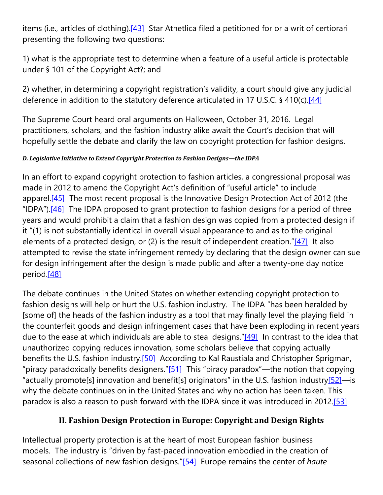items (i.e., articles of clothing)[.\[43\]](https://cardozoaelj.com/2016/12/01/protecting-fashion-comparative-analysis-fashion-design-protection-united-states-europe/#_ftn43) Star Athetlica filed a petitioned for or a writ of certiorari presenting the following two questions:

1) what is the appropriate test to determine when a feature of a useful article is protectable under § 101 of the Copyright Act?; and

2) whether, in determining a copyright registration's validity, a court should give any judicial deference in addition to the statutory deference articulated in 17 U.S.C. § 410(c)[.\[44\]](https://cardozoaelj.com/2016/12/01/protecting-fashion-comparative-analysis-fashion-design-protection-united-states-europe/#_ftn44)

The Supreme Court heard oral arguments on Halloween, October 31, 2016. Legal practitioners, scholars, and the fashion industry alike await the Court's decision that will hopefully settle the debate and clarify the law on copyright protection for fashion designs.

#### *D. Legislative Initiative to Extend Copyright Protection to Fashion Designs—the IDPA*

In an effort to expand copyright protection to fashion articles, a congressional proposal was made in 2012 to amend the Copyright Act's definition of "useful article" to include apparel.<sup>[45]</sup> The most recent proposal is the Innovative Design Protection Act of 2012 (the "IDPA"). $[46]$  The IDPA proposed to grant protection to fashion designs for a period of three years and would prohibit a claim that a fashion design was copied from a protected design if it "(1) is not substantially identical in overall visual appearance to and as to the original elements of a protected design, or (2) is the result of independent creation.["\[47\]](https://cardozoaelj.com/2016/12/01/protecting-fashion-comparative-analysis-fashion-design-protection-united-states-europe/#_ftn47) It also attempted to revise the state infringement remedy by declaring that the design owner can sue for design infringement after the design is made public and after a twenty-one day notice period[.\[48\]](https://cardozoaelj.com/2016/12/01/protecting-fashion-comparative-analysis-fashion-design-protection-united-states-europe/#_ftn48)

The debate continues in the United States on whether extending copyright protection to fashion designs will help or hurt the U.S. fashion industry. The IDPA "has been heralded by [some of] the heads of the fashion industry as a tool that may finally level the playing field in the counterfeit goods and design infringement cases that have been exploding in recent years due to the ease at which individuals are able to steal designs.["\[49\]](https://cardozoaelj.com/2016/12/01/protecting-fashion-comparative-analysis-fashion-design-protection-united-states-europe/#_ftn49) In contrast to the idea that unauthorized copying reduces innovation, some scholars believe that copying actually benefits the U.S. fashion industry.<sup>[50]</sup> According to Kal Raustiala and Christopher Sprigman, "piracy paradoxically benefits designers." $[51]$  This "piracy paradox"—the notion that copying "actually promote[s] innovation and benefit[s] originators" in the U.S. fashion industr[y\[52\]—](https://cardozoaelj.com/2016/12/01/protecting-fashion-comparative-analysis-fashion-design-protection-united-states-europe/#_ftn52)is why the debate continues on in the United States and why no action has been taken. This paradox is also a reason to push forward with the IDPA since it was introduced in 2012[.\[53\]](https://cardozoaelj.com/2016/12/01/protecting-fashion-comparative-analysis-fashion-design-protection-united-states-europe/#_ftn53)

# **II. Fashion Design Protection in Europe: Copyright and Design Rights**

Intellectual property protection is at the heart of most European fashion business models. The industry is "driven by fast-paced innovation embodied in the creation of seasonal collections of new fashion designs.["\[54\]](https://cardozoaelj.com/2016/12/01/protecting-fashion-comparative-analysis-fashion-design-protection-united-states-europe/#_ftn54) Europe remains the center of *haute*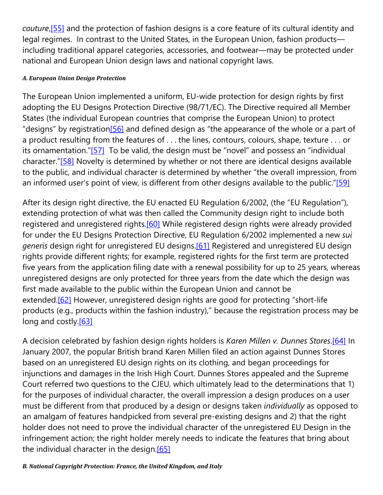*couture*[,\[55\]](https://cardozoaelj.com/2016/12/01/protecting-fashion-comparative-analysis-fashion-design-protection-united-states-europe/#_ftn55) and the protection of fashion designs is a core feature of its cultural identity and legal regimes. In contrast to the United States, in the European Union, fashion products including traditional apparel categories, accessories, and footwear—may be protected under national and European Union design laws and national copyright laws.

#### *A. European Union Design Protection*

The European Union implemented a uniform, EU-wide protection for design rights by first adopting the EU Designs Protection Directive (98/71/EC). The Directive required all Member States (the individual European countries that comprise the European Union) to protect "designs" by registratio[n\[56\]](https://cardozoaelj.com/2016/12/01/protecting-fashion-comparative-analysis-fashion-design-protection-united-states-europe/#_ftn56) and defined design as "the appearance of the whole or a part of a product resulting from the features of . . . the lines, contours, colours, shape, texture . . . or its ornamentation.["\[57\]](https://cardozoaelj.com/2016/12/01/protecting-fashion-comparative-analysis-fashion-design-protection-united-states-europe/#_ftn57) To be valid, the design must be "novel" and possess an "individual character.["\[58\]](https://cardozoaelj.com/2016/12/01/protecting-fashion-comparative-analysis-fashion-design-protection-united-states-europe/#_ftn58) Novelty is determined by whether or not there are identical designs available to the public, and individual character is determined by whether "the overall impression, from an informed user's point of view, is different from other designs available to the public.["\[59\]](https://cardozoaelj.com/2016/12/01/protecting-fashion-comparative-analysis-fashion-design-protection-united-states-europe/#_ftn59)

After its design right directive, the EU enacted EU Regulation 6/2002, (the "EU Regulation"), extending protection of what was then called the Community design right to include both registered and unregistered rights.<sup>[60]</sup> While registered design rights were already provided for under the EU Designs Protection Directive, EU Regulation 6/2002 implemented a new *sui generis* design right for unregistered EU designs[.\[61\]](https://cardozoaelj.com/2016/12/01/protecting-fashion-comparative-analysis-fashion-design-protection-united-states-europe/#_ftn61) Registered and unregistered EU design rights provide different rights; for example, registered rights for the first term are protected five years from the application filing date with a renewal possibility for up to 25 years, whereas unregistered designs are only protected for three years from the date which the design was first made available to the public within the European Union and cannot be extended[.\[62\]](https://cardozoaelj.com/2016/12/01/protecting-fashion-comparative-analysis-fashion-design-protection-united-states-europe/#_ftn62) However, unregistered design rights are good for protecting "short-life products (e.g., products within the fashion industry)," because the registration process may be long and costly.<sup>[63]</sup>

A decision celebrated by fashion design rights holders is *Karen Millen v. Dunnes Stores*[.\[64\]](https://cardozoaelj.com/2016/12/01/protecting-fashion-comparative-analysis-fashion-design-protection-united-states-europe/#_ftn64) In January 2007, the popular British brand Karen Millen filed an action against Dunnes Stores based on an unregistered EU design rights on its clothing, and began proceedings for injunctions and damages in the Irish High Court. Dunnes Stores appealed and the Supreme Court referred two questions to the CJEU, which ultimately lead to the determinations that 1) for the purposes of individual character, the overall impression a design produces on a user must be different from that produced by a design or designs taken *individually* as opposed to an amalgam of features handpicked from several pre-existing designs and 2) that the right holder does not need to prove the individual character of the unregistered EU Design in the infringement action; the right holder merely needs to indicate the features that bring about the individual character in the design.<sup>[65]</sup>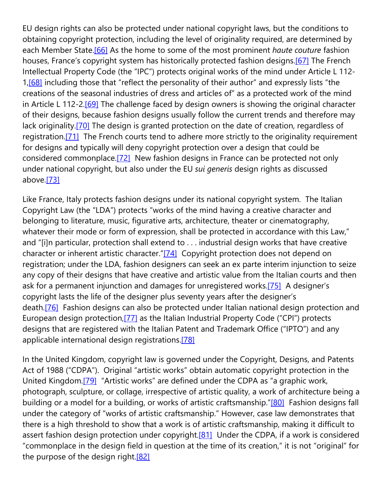EU design rights can also be protected under national copyright laws, but the conditions to obtaining copyright protection, including the level of originality required, are determined by each Member State[.\[66\]](https://cardozoaelj.com/2016/12/01/protecting-fashion-comparative-analysis-fashion-design-protection-united-states-europe/#_ftn66) As the home to some of the most prominent *haute couture* fashion houses, France's copyright system has historically protected fashion designs[.\[67\]](https://cardozoaelj.com/2016/12/01/protecting-fashion-comparative-analysis-fashion-design-protection-united-states-europe/#_ftn67) The French Intellectual Property Code (the "IPC") protects original works of the mind under Article L 112- 1,<sup>[68]</sup> including those that "reflect the personality of their author" and expressly lists "the creations of the seasonal industries of dress and articles of" as a protected work of the mind in Article L 112-2.<sup>[69]</sup> The challenge faced by design owners is showing the original character of their designs, because fashion designs usually follow the current trends and therefore may lack originality.<sup>[70]</sup> The design is granted protection on the date of creation, regardless of registration.<sup>[71]</sup> The French courts tend to adhere more strictly to the originality requirement for designs and typically will deny copyright protection over a design that could be considered commonplace[.\[72\]](https://cardozoaelj.com/2016/12/01/protecting-fashion-comparative-analysis-fashion-design-protection-united-states-europe/#_ftn72) New fashion designs in France can be protected not only under national copyright, but also under the EU *sui generis* design rights as discussed above[.\[73\]](https://cardozoaelj.com/2016/12/01/protecting-fashion-comparative-analysis-fashion-design-protection-united-states-europe/#_ftn73)

Like France, Italy protects fashion designs under its national copyright system. The Italian Copyright Law (the "LDA") protects "works of the mind having a creative character and belonging to literature, music, figurative arts, architecture, theater or cinematography, whatever their mode or form of expression, shall be protected in accordance with this Law," and "[i]n particular, protection shall extend to . . . industrial design works that have creative character or inherent artistic character.["\[74\]](https://cardozoaelj.com/2016/12/01/protecting-fashion-comparative-analysis-fashion-design-protection-united-states-europe/#_ftn74) Copyright protection does not depend on registration; under the LDA, fashion designers can seek an ex parte interim injunction to seize any copy of their designs that have creative and artistic value from the Italian courts and then ask for a permanent injunction and damages for unregistered works[.\[75\]](https://cardozoaelj.com/2016/12/01/protecting-fashion-comparative-analysis-fashion-design-protection-united-states-europe/#_ftn75) A designer's copyright lasts the life of the designer plus seventy years after the designer's death.<sup>[76]</sup> Fashion designs can also be protected under Italian national design protection and European design protection[,\[77\]](https://cardozoaelj.com/2016/12/01/protecting-fashion-comparative-analysis-fashion-design-protection-united-states-europe/#_ftn77) as the Italian Industrial Property Code ("CPI") protects designs that are registered with the Italian Patent and Trademark Office ("IPTO") and any applicable international design registrations.<sup>[78]</sup>

In the United Kingdom, copyright law is governed under the Copyright, Designs, and Patents Act of 1988 ("CDPA"). Original "artistic works" obtain automatic copyright protection in the United Kingdom[.\[79\]](https://cardozoaelj.com/2016/12/01/protecting-fashion-comparative-analysis-fashion-design-protection-united-states-europe/#_ftn79) "Artistic works" are defined under the CDPA as "a graphic work, photograph, sculpture, or collage, irrespective of artistic quality, a work of architecture being a building or a model for a building, or works of artistic craftsmanship.["\[80\]](https://cardozoaelj.com/2016/12/01/protecting-fashion-comparative-analysis-fashion-design-protection-united-states-europe/#_ftn80) Fashion designs fall under the category of "works of artistic craftsmanship." However, case law demonstrates that there is a high threshold to show that a work is of artistic craftsmanship, making it difficult to assert fashion design protection under copyright.<sup>[81]</sup> Under the CDPA, if a work is considered "commonplace in the design field in question at the time of its creation," it is not "original" for the purpose of the design right.<sup>[82]</sup>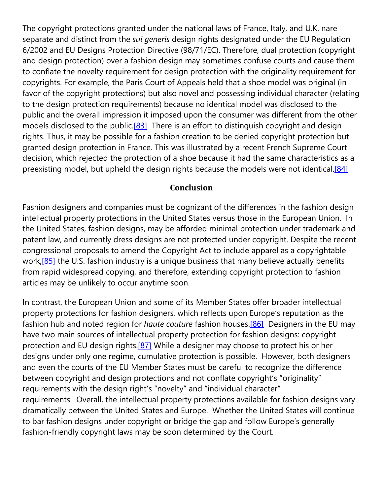The copyright protections granted under the national laws of France, Italy, and U.K. nare separate and distinct from the *sui generis* design rights designated under the EU Regulation 6/2002 and EU Designs Protection Directive (98/71/EC). Therefore, dual protection (copyright and design protection) over a fashion design may sometimes confuse courts and cause them to conflate the novelty requirement for design protection with the originality requirement for copyrights. For example, the Paris Court of Appeals held that a shoe model was original (in favor of the copyright protections) but also novel and possessing individual character (relating to the design protection requirements) because no identical model was disclosed to the public and the overall impression it imposed upon the consumer was different from the other models disclosed to the public.<sup>[83]</sup> There is an effort to distinguish copyright and design rights. Thus, it may be possible for a fashion creation to be denied copyright protection but granted design protection in France. This was illustrated by a recent French Supreme Court decision, which rejected the protection of a shoe because it had the same characteristics as a preexisting model, but upheld the design rights because the models were not identical[.\[84\]](https://cardozoaelj.com/2016/12/01/protecting-fashion-comparative-analysis-fashion-design-protection-united-states-europe/#_ftn84)

### **Conclusion**

Fashion designers and companies must be cognizant of the differences in the fashion design intellectual property protections in the United States versus those in the European Union. In the United States, fashion designs, may be afforded minimal protection under trademark and patent law, and currently dress designs are not protected under copyright. Despite the recent congressional proposals to amend the Copyright Act to include apparel as a copyrightable work,<sup>[85]</sup> the U.S. fashion industry is a unique business that many believe actually benefits from rapid widespread copying, and therefore, extending copyright protection to fashion articles may be unlikely to occur anytime soon.

In contrast, the European Union and some of its Member States offer broader intellectual property protections for fashion designers, which reflects upon Europe's reputation as the fashion hub and noted region for *haute couture* fashion houses[.\[86\]](https://cardozoaelj.com/2016/12/01/protecting-fashion-comparative-analysis-fashion-design-protection-united-states-europe/#_ftn86) Designers in the EU may have two main sources of intellectual property protection for fashion designs: copyright protection and EU design rights. $[87]$  While a designer may choose to protect his or her designs under only one regime, cumulative protection is possible. However, both designers and even the courts of the EU Member States must be careful to recognize the difference between copyright and design protections and not conflate copyright's "originality" requirements with the design right's "novelty" and "individual character" requirements. Overall, the intellectual property protections available for fashion designs vary dramatically between the United States and Europe. Whether the United States will continue to bar fashion designs under copyright or bridge the gap and follow Europe's generally fashion-friendly copyright laws may be soon determined by the Court.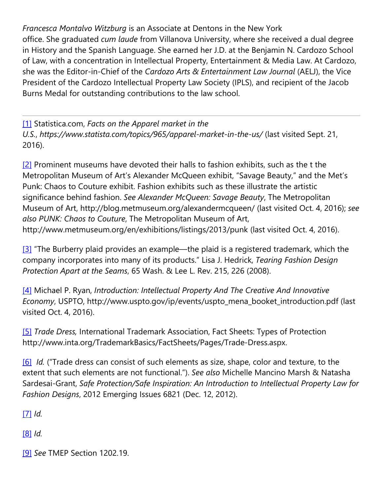*Francesca Montalvo Witzburg* is an Associate at Dentons in the New York office. She graduated *cum laude* from Villanova University, where she received a dual degree in History and the Spanish Language. She earned her J.D. at the Benjamin N. Cardozo School of Law, with a concentration in Intellectual Property, Entertainment & Media Law. At Cardozo, she was the Editor-in-Chief of the *Cardozo Arts & Entertainment Law Journal* (AELJ), the Vice President of the Cardozo Intellectual Property Law Society (IPLS), and recipient of the Jacob Burns Medal for outstanding contributions to the law school.

[\[1\]](https://cardozoaelj.com/2016/12/01/protecting-fashion-comparative-analysis-fashion-design-protection-united-states-europe/#_ftnref1) Statistica.com, *Facts on the Apparel market in the U.S.*, *https://www.statista.com/topics/965/apparel-market-in-the-us/* (last visited Sept. 21, 2016).

[\[2\]](https://cardozoaelj.com/2016/12/01/protecting-fashion-comparative-analysis-fashion-design-protection-united-states-europe/#_ftnref2) Prominent museums have devoted their halls to fashion exhibits, such as the t the Metropolitan Museum of Art's Alexander McQueen exhibit, "Savage Beauty," and the Met's Punk: Chaos to Couture exhibit. Fashion exhibits such as these illustrate the artistic significance behind fashion. *See Alexander McQueen: Savage Beauty*, The Metropolitan Museum of Art, http://blog.metmuseum.org/alexandermcqueen/ (last visited Oct. 4, 2016); *see also PUNK: Chaos to Couture*, The Metropolitan Museum of Art, http://www.metmuseum.org/en/exhibitions/listings/2013/punk (last visited Oct. 4, 2016).

[\[3\]](https://cardozoaelj.com/2016/12/01/protecting-fashion-comparative-analysis-fashion-design-protection-united-states-europe/#_ftnref3) "The Burberry plaid provides an example—the plaid is a registered trademark, which the company incorporates into many of its products." Lisa J. Hedrick, *Tearing Fashion Design Protection Apart at the Seams*, 65 Wash. & Lee L. Rev. 215, 226 (2008).

[\[4\]](https://cardozoaelj.com/2016/12/01/protecting-fashion-comparative-analysis-fashion-design-protection-united-states-europe/#_ftnref4) Michael P. Ryan, *Introduction: Intellectual Property And The Creative And Innovative Economy*, USPTO, http://www.uspto.gov/ip/events/uspto\_mena\_booket\_introduction.pdf (last visited Oct. 4, 2016).

[\[5\]](https://cardozoaelj.com/2016/12/01/protecting-fashion-comparative-analysis-fashion-design-protection-united-states-europe/#_ftnref5) *Trade Dress,* International Trademark Association, Fact Sheets: Types of Protection http://www.inta.org/TrademarkBasics/FactSheets/Pages/Trade-Dress.aspx.

[\[6\]](https://cardozoaelj.com/2016/12/01/protecting-fashion-comparative-analysis-fashion-design-protection-united-states-europe/#_ftnref6) *Id.* ("Trade dress can consist of such elements as size, shape, color and texture, to the extent that such elements are not functional."). *See also* Michelle Mancino Marsh & Natasha Sardesai-Grant, *Safe Protection/Safe Inspiration: An Introduction to Intellectual Property Law for Fashion Designs*, 2012 Emerging Issues 6821 (Dec. 12, 2012).

[\[7\]](https://cardozoaelj.com/2016/12/01/protecting-fashion-comparative-analysis-fashion-design-protection-united-states-europe/#_ftnref7) *Id.*

[\[8\]](https://cardozoaelj.com/2016/12/01/protecting-fashion-comparative-analysis-fashion-design-protection-united-states-europe/#_ftnref8) *Id.*

[\[9\]](https://cardozoaelj.com/2016/12/01/protecting-fashion-comparative-analysis-fashion-design-protection-united-states-europe/#_ftnref9) *See* TMEP Section 1202.19.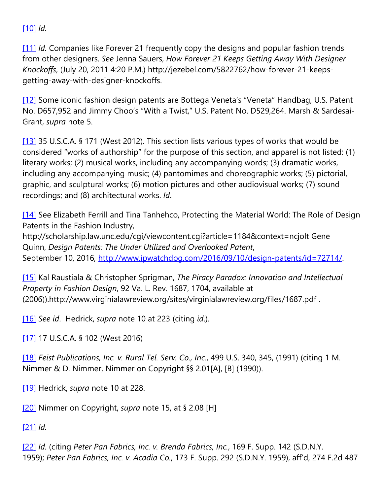# [\[10\]](https://cardozoaelj.com/2016/12/01/protecting-fashion-comparative-analysis-fashion-design-protection-united-states-europe/#_ftnref10) *Id.*

[\[11\]](https://cardozoaelj.com/2016/12/01/protecting-fashion-comparative-analysis-fashion-design-protection-united-states-europe/#_ftnref11) *Id.* Companies like Forever 21 frequently copy the designs and popular fashion trends from other designers. *See* Jenna Sauers, *How Forever 21 Keeps Getting Away With Designer Knockoffs*, (July 20, 2011 4:20 P.M.) http://jezebel.com/5822762/how-forever-21-keepsgetting-away-with-designer-knockoffs.

[\[12\]](https://cardozoaelj.com/2016/12/01/protecting-fashion-comparative-analysis-fashion-design-protection-united-states-europe/#_ftnref12) Some iconic fashion design patents are Bottega Veneta's "Veneta" Handbag, U.S. Patent No. D657,952 and Jimmy Choo's "With a Twist," U.S. Patent No. D529,264. Marsh & Sardesai-Grant, *supra* note 5.

[\[13\]](https://cardozoaelj.com/2016/12/01/protecting-fashion-comparative-analysis-fashion-design-protection-united-states-europe/#_ftnref13) 35 U.S.C.A. § 171 (West 2012). This section lists various types of works that would be considered "works of authorship" for the purpose of this section, and apparel is not listed: (1) literary works; (2) musical works, including any accompanying words; (3) dramatic works, including any accompanying music; (4) pantomimes and choreographic works; (5) pictorial, graphic, and sculptural works; (6) motion pictures and other audiovisual works; (7) sound recordings; and (8) architectural works. *Id*.

[\[14\]](https://cardozoaelj.com/2016/12/01/protecting-fashion-comparative-analysis-fashion-design-protection-united-states-europe/#_ftnref14) See Elizabeth Ferrill and Tina Tanhehco, Protecting the Material World: The Role of Design Patents in the Fashion Industry,

http://scholarship.law.unc.edu/cgi/viewcontent.cgi?article=1184&context=ncjolt Gene Quinn, *Design Patents: The Under Utilized and Overlooked Patent*, September 10, 2016, [http://www.ipwatchdog.com/2016/09/10/design-patents/id=72714/.](http://www.ipwatchdog.com/2016/09/10/design-patents/id=72714/)

[\[15\]](https://cardozoaelj.com/2016/12/01/protecting-fashion-comparative-analysis-fashion-design-protection-united-states-europe/#_ftnref15) Kal Raustiala & Christopher Sprigman, *The Piracy Paradox: Innovation and Intellectual Property in Fashion Design*, 92 Va. L. Rev. 1687, 1704, available at (2006)).http://www.virginialawreview.org/sites/virginialawreview.org/files/1687.pdf .

[\[16\]](https://cardozoaelj.com/2016/12/01/protecting-fashion-comparative-analysis-fashion-design-protection-united-states-europe/#_ftnref16) *See id*. Hedrick, *supra* note 10 at 223 (citing *id*.).

[\[17\]](https://cardozoaelj.com/2016/12/01/protecting-fashion-comparative-analysis-fashion-design-protection-united-states-europe/#_ftnref17) 17 U.S.C.A. § 102 (West 2016)

[\[18\]](https://cardozoaelj.com/2016/12/01/protecting-fashion-comparative-analysis-fashion-design-protection-united-states-europe/#_ftnref18) *Feist Publications, Inc. v. Rural Tel. Serv. Co., Inc.*, 499 U.S. 340, 345, (1991) (citing 1 M. Nimmer & D. Nimmer, Nimmer on Copyright §§ 2.01[A], [B] (1990)).

[\[19\]](https://cardozoaelj.com/2016/12/01/protecting-fashion-comparative-analysis-fashion-design-protection-united-states-europe/#_ftnref19) Hedrick, *supra* note 10 at 228.

[\[20\]](https://cardozoaelj.com/2016/12/01/protecting-fashion-comparative-analysis-fashion-design-protection-united-states-europe/#_ftnref20) Nimmer on Copyright, *supra* note 15, at § 2.08 [H]

[\[21\]](https://cardozoaelj.com/2016/12/01/protecting-fashion-comparative-analysis-fashion-design-protection-united-states-europe/#_ftnref21) *Id.*

[\[22\]](https://cardozoaelj.com/2016/12/01/protecting-fashion-comparative-analysis-fashion-design-protection-united-states-europe/#_ftnref22) *Id.* (citing *Peter Pan Fabrics, Inc. v. Brenda Fabrics, Inc.*, 169 F. Supp. 142 (S.D.N.Y. 1959); *Peter Pan Fabrics, Inc. v. Acadia Co.*, 173 F. Supp. 292 (S.D.N.Y. 1959), aff'd, 274 F.2d 487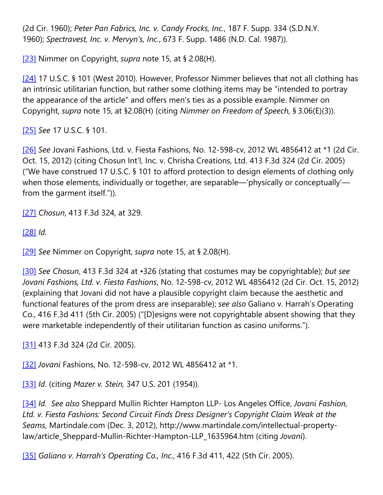(2d Cir. 1960); *Peter Pan Fabrics, Inc. v. Candy Frocks, Inc.*, 187 F. Supp. 334 (S.D.N.Y. 1960); *Spectravest, Inc. v. Mervyn's, Inc.*, 673 F. Supp. 1486 (N.D. Cal. 1987)).

[\[23\]](https://cardozoaelj.com/2016/12/01/protecting-fashion-comparative-analysis-fashion-design-protection-united-states-europe/#_ftnref23) Nimmer on Copyright, *supra* note 15, at § 2.08(H).

[\[24\]](https://cardozoaelj.com/2016/12/01/protecting-fashion-comparative-analysis-fashion-design-protection-united-states-europe/#_ftnref24) 17 U.S.C. § 101 (West 2010). However, Professor Nimmer believes that not all clothing has an intrinsic utilitarian function, but rather some clothing items may be "intended to portray the appearance of the article" and offers men's ties as a possible example. Nimmer on Copyright, *supra* note 15, at §2.08(H) (citing *Nimmer on Freedom of Speech,* § 3.06(E)(3)).

[\[25\]](https://cardozoaelj.com/2016/12/01/protecting-fashion-comparative-analysis-fashion-design-protection-united-states-europe/#_ftnref25) *See* 17 U.S.C. § 101.

[\[26\]](https://cardozoaelj.com/2016/12/01/protecting-fashion-comparative-analysis-fashion-design-protection-united-states-europe/#_ftnref26) *See* Jovani Fashions, Ltd. v. Fiesta Fashions, No. 12-598-cv, 2012 WL 4856412 at \*1 (2d Cir. Oct. 15, 2012) (citing Chosun Int'l, Inc. v. Chrisha Creations, Ltd. 413 F.3d 324 (2d Cir. 2005) ("We have construed 17 U.S.C. § 101 to afford protection to design elements of clothing only when those elements, individually or together, are separable—'physically or conceptually' from the garment itself.")).

[\[27\]](https://cardozoaelj.com/2016/12/01/protecting-fashion-comparative-analysis-fashion-design-protection-united-states-europe/#_ftnref27) *Chosun*, 413 F.3d 324, at 329.

[\[28\]](https://cardozoaelj.com/2016/12/01/protecting-fashion-comparative-analysis-fashion-design-protection-united-states-europe/#_ftnref28) *Id.*

[\[29\]](https://cardozoaelj.com/2016/12/01/protecting-fashion-comparative-analysis-fashion-design-protection-united-states-europe/#_ftnref29) *See* Nimmer on Copyright, *supra* note 15, at § 2.08(H).

[\[30\]](https://cardozoaelj.com/2016/12/01/protecting-fashion-comparative-analysis-fashion-design-protection-united-states-europe/#_ftnref30) *See Chosun*, 413 F.3d 324 at •326 (stating that costumes may be copyrightable); *but see Jovani Fashions, Ltd. v. Fiesta Fashions*, No. 12-598-cv, 2012 WL 4856412 (2d Cir. Oct. 15, 2012) (explaining that Jovani did not have a plausible copyright claim because the aesthetic and functional features of the prom dress are inseparable); *see also* Galiano v. Harrah's Operating Co., 416 F.3d 411 (5th Cir. 2005) ("[D]esigns were not copyrightable absent showing that they were marketable independently of their utilitarian function as casino uniforms.").

[\[31\]](https://cardozoaelj.com/2016/12/01/protecting-fashion-comparative-analysis-fashion-design-protection-united-states-europe/#_ftnref31) 413 F.3d 324 (2d Cir. 2005).

[\[32\]](https://cardozoaelj.com/2016/12/01/protecting-fashion-comparative-analysis-fashion-design-protection-united-states-europe/#_ftnref32) *Jovani* Fashions, No. 12-598-cv, 2012 WL 4856412 at \*1.

[\[33\]](https://cardozoaelj.com/2016/12/01/protecting-fashion-comparative-analysis-fashion-design-protection-united-states-europe/#_ftnref33) *Id*. (citing *Mazer v. Stein,* 347 U.S. 201 (1954)).

[\[34\]](https://cardozoaelj.com/2016/12/01/protecting-fashion-comparative-analysis-fashion-design-protection-united-states-europe/#_ftnref34) *Id. See also* Sheppard Mullin Richter Hampton LLP- Los Angeles Office, *Jovani Fashion, Ltd. v. Fiesta Fashions: Second Circuit Finds Dress Designer's Copyright Claim Weak at the Seams*, Martindale.com (Dec. 3, 2012), http://www.martindale.com/intellectual-propertylaw/article\_Sheppard-Mullin-Richter-Hampton-LLP\_1635964.htm (citing *Jovani*).

[\[35\]](https://cardozoaelj.com/2016/12/01/protecting-fashion-comparative-analysis-fashion-design-protection-united-states-europe/#_ftnref35) *Galiano v. Harrah's Operating Co., Inc.*, 416 F.3d 411, 422 (5th Cir. 2005).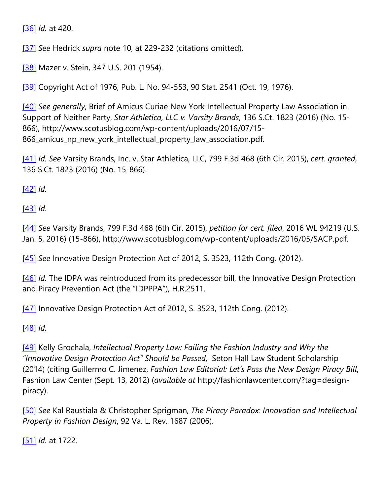[\[36\]](https://cardozoaelj.com/2016/12/01/protecting-fashion-comparative-analysis-fashion-design-protection-united-states-europe/#_ftnref36) *Id.* at 420.

[\[37\]](https://cardozoaelj.com/2016/12/01/protecting-fashion-comparative-analysis-fashion-design-protection-united-states-europe/#_ftnref37) *See* Hedrick *supra* note 10, at 229-232 (citations omitted).

[\[38\]](https://cardozoaelj.com/2016/12/01/protecting-fashion-comparative-analysis-fashion-design-protection-united-states-europe/#_ftnref38) Mazer v. Stein, 347 U.S. 201 (1954).

[\[39\]](https://cardozoaelj.com/2016/12/01/protecting-fashion-comparative-analysis-fashion-design-protection-united-states-europe/#_ftnref39) Copyright Act of 1976, Pub. L. No. 94-553, 90 Stat. 2541 (Oct. 19, 1976).

[\[40\]](https://cardozoaelj.com/2016/12/01/protecting-fashion-comparative-analysis-fashion-design-protection-united-states-europe/#_ftnref40) *See generally*, Brief of Amicus Curiae New York Intellectual Property Law Association in Support of Neither Party, *Star Athletica, LLC v. Varsity Brands*, 136 S.Ct. 1823 (2016) (No. 15- 866), http://www.scotusblog.com/wp-content/uploads/2016/07/15- 866\_amicus\_np\_new\_york\_intellectual\_property\_law\_association.pdf.

[\[41\]](https://cardozoaelj.com/2016/12/01/protecting-fashion-comparative-analysis-fashion-design-protection-united-states-europe/#_ftnref41) *Id. See* Varsity Brands, Inc. v. Star Athletica, LLC, 799 F.3d 468 (6th Cir. 2015), *cert. granted*, 136 S.Ct. 1823 (2016) (No. 15-866).

[\[42\]](https://cardozoaelj.com/2016/12/01/protecting-fashion-comparative-analysis-fashion-design-protection-united-states-europe/#_ftnref42) *Id.*

[\[43\]](https://cardozoaelj.com/2016/12/01/protecting-fashion-comparative-analysis-fashion-design-protection-united-states-europe/#_ftnref43) *Id.*

[\[44\]](https://cardozoaelj.com/2016/12/01/protecting-fashion-comparative-analysis-fashion-design-protection-united-states-europe/#_ftnref44) *See* Varsity Brands, 799 F.3d 468 (6th Cir. 2015), *petition for cert. filed*, 2016 WL 94219 (U.S. Jan. 5, 2016) (15-866), http://www.scotusblog.com/wp-content/uploads/2016/05/SACP.pdf.

[\[45\]](https://cardozoaelj.com/2016/12/01/protecting-fashion-comparative-analysis-fashion-design-protection-united-states-europe/#_ftnref45) *See* Innovative Design Protection Act of 2012, S. 3523, 112th Cong. (2012).

[\[46\]](https://cardozoaelj.com/2016/12/01/protecting-fashion-comparative-analysis-fashion-design-protection-united-states-europe/#_ftnref46) *Id.* The IDPA was reintroduced from its predecessor bill, the Innovative Design Protection and Piracy Prevention Act (the "IDPPPA"), H.R.2511.

[\[47\]](https://cardozoaelj.com/2016/12/01/protecting-fashion-comparative-analysis-fashion-design-protection-united-states-europe/#_ftnref47) Innovative Design Protection Act of 2012, S. 3523, 112th Cong. (2012).

[\[48\]](https://cardozoaelj.com/2016/12/01/protecting-fashion-comparative-analysis-fashion-design-protection-united-states-europe/#_ftnref48) *Id.*

[\[49\]](https://cardozoaelj.com/2016/12/01/protecting-fashion-comparative-analysis-fashion-design-protection-united-states-europe/#_ftnref49) Kelly Grochala, *Intellectual Property Law: Failing the Fashion Industry and Why the "Innovative Design Protection Act" Should be Passed*, Seton Hall Law Student Scholarship (2014) (citing Guillermo C. Jimenez, *Fashion Law Editorial: Let's Pass the New Design Piracy Bill*, Fashion Law Center (Sept. 13, 2012) (*available at* http://fashionlawcenter.com/?tag=designpiracy).

[\[50\]](https://cardozoaelj.com/2016/12/01/protecting-fashion-comparative-analysis-fashion-design-protection-united-states-europe/#_ftnref50) *See* Kal Raustiala & Christopher Sprigman, *The Piracy Paradox: Innovation and Intellectual Property in Fashion Design*, 92 Va. L. Rev. 1687 (2006).

[\[51\]](https://cardozoaelj.com/2016/12/01/protecting-fashion-comparative-analysis-fashion-design-protection-united-states-europe/#_ftnref51) *Id.* at 1722.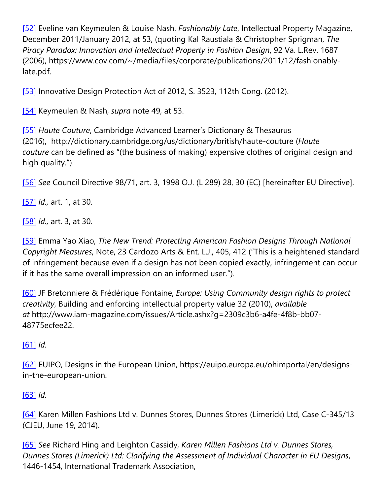[\[52\]](https://cardozoaelj.com/2016/12/01/protecting-fashion-comparative-analysis-fashion-design-protection-united-states-europe/#_ftnref52) Eveline van Keymeulen & Louise Nash, *Fashionably Late*, Intellectual Property Magazine, December 2011/January 2012, at 53, (quoting Kal Raustiala & Christopher Sprigman, *The Piracy Paradox: Innovation and Intellectual Property in Fashion Design*, 92 Va. L.Rev. 1687 (2006), https://www.cov.com/~/media/files/corporate/publications/2011/12/fashionablylate.pdf.

[\[53\]](https://cardozoaelj.com/2016/12/01/protecting-fashion-comparative-analysis-fashion-design-protection-united-states-europe/#_ftnref53) Innovative Design Protection Act of 2012, S. 3523, 112th Cong. (2012).

[\[54\]](https://cardozoaelj.com/2016/12/01/protecting-fashion-comparative-analysis-fashion-design-protection-united-states-europe/#_ftnref54) Keymeulen & Nash, *supra* note 49, at 53.

[\[55\]](https://cardozoaelj.com/2016/12/01/protecting-fashion-comparative-analysis-fashion-design-protection-united-states-europe/#_ftnref55) *Haute Couture*, Cambridge Advanced Learner's Dictionary & Thesaurus (2016), http://dictionary.cambridge.org/us/dictionary/british/haute-couture (*Haute couture* can be defined as "(the business of making) expensive clothes of original design and high quality.").

[\[56\]](https://cardozoaelj.com/2016/12/01/protecting-fashion-comparative-analysis-fashion-design-protection-united-states-europe/#_ftnref56) *See* Council Directive 98/71, art. 3, 1998 O.J. (L 289) 28, 30 (EC) [hereinafter EU Directive].

[\[57\]](https://cardozoaelj.com/2016/12/01/protecting-fashion-comparative-analysis-fashion-design-protection-united-states-europe/#_ftnref57) *Id.,* art. 1, at 30.

[\[58\]](https://cardozoaelj.com/2016/12/01/protecting-fashion-comparative-analysis-fashion-design-protection-united-states-europe/#_ftnref58) *Id.,* art. 3, at 30.

[\[59\]](https://cardozoaelj.com/2016/12/01/protecting-fashion-comparative-analysis-fashion-design-protection-united-states-europe/#_ftnref59) Emma Yao Xiao, *The New Trend: Protecting American Fashion Designs Through National Copyright Measures*, Note, 23 Cardozo Arts & Ent. L.J., 405, 412 ("This is a heightened standard of infringement because even if a design has not been copied exactly, infringement can occur if it has the same overall impression on an informed user.").

[\[60\]](https://cardozoaelj.com/2016/12/01/protecting-fashion-comparative-analysis-fashion-design-protection-united-states-europe/#_ftnref60) JF Bretonniere & Frédérique Fontaine, *Europe: Using Community design rights to protect creativity*, Building and enforcing intellectual property value 32 (2010), *available at* http://www.iam-magazine.com/issues/Article.ashx?g=2309c3b6-a4fe-4f8b-bb07- 48775ecfee22.

# [\[61\]](https://cardozoaelj.com/2016/12/01/protecting-fashion-comparative-analysis-fashion-design-protection-united-states-europe/#_ftnref61) *Id.*

[\[62\]](https://cardozoaelj.com/2016/12/01/protecting-fashion-comparative-analysis-fashion-design-protection-united-states-europe/#_ftnref62) EUIPO, Designs in the European Union, https://euipo.europa.eu/ohimportal/en/designsin-the-european-union.

# [\[63\]](https://cardozoaelj.com/2016/12/01/protecting-fashion-comparative-analysis-fashion-design-protection-united-states-europe/#_ftnref63) *Id.*

[\[64\]](https://cardozoaelj.com/2016/12/01/protecting-fashion-comparative-analysis-fashion-design-protection-united-states-europe/#_ftnref64) Karen Millen Fashions Ltd v. Dunnes Stores, Dunnes Stores (Limerick) Ltd, Case C-345/13 (CJEU, June 19, 2014).

[\[65\]](https://cardozoaelj.com/2016/12/01/protecting-fashion-comparative-analysis-fashion-design-protection-united-states-europe/#_ftnref65) *See* Richard Hing and Leighton Cassidy, *Karen Millen Fashions Ltd v. Dunnes Stores, Dunnes Stores (Limerick) Ltd: Clarifying the Assessment of Individual Character in EU Designs*, 1446-1454, International Trademark Association,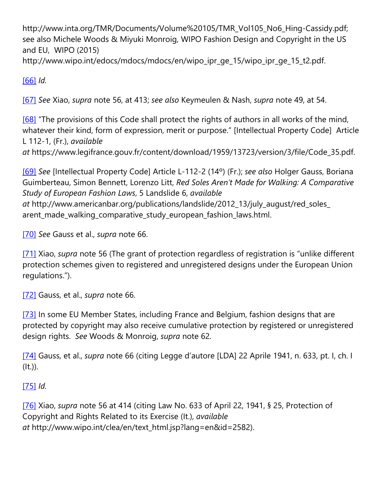http://www.inta.org/TMR/Documents/Volume%20105/TMR\_Vol105\_No6\_Hing-Cassidy.pdf; see also Michele Woods & Miyuki Monroig, WIPO Fashion Design and Copyright in the US and EU, WIPO (2015)

http://www.wipo.int/edocs/mdocs/mdocs/en/wipo\_ipr\_ge\_15/wipo\_ipr\_ge\_15\_t2.pdf.

# [\[66\]](https://cardozoaelj.com/2016/12/01/protecting-fashion-comparative-analysis-fashion-design-protection-united-states-europe/#_ftnref66) *Id.*

[\[67\]](https://cardozoaelj.com/2016/12/01/protecting-fashion-comparative-analysis-fashion-design-protection-united-states-europe/#_ftnref67) *See* Xiao, *supra* note 56, at 413; *see also* Keymeulen & Nash, *supra* note 49, at 54.

[\[68\]](https://cardozoaelj.com/2016/12/01/protecting-fashion-comparative-analysis-fashion-design-protection-united-states-europe/#_ftnref68) "The provisions of this Code shall protect the rights of authors in all works of the mind, whatever their kind, form of expression, merit or purpose." [Intellectual Property Code] Article L 112-1, (Fr.), *available*

*at* https://www.legifrance.gouv.fr/content/download/1959/13723/version/3/file/Code\_35.pdf.

[\[69\]](https://cardozoaelj.com/2016/12/01/protecting-fashion-comparative-analysis-fashion-design-protection-united-states-europe/#_ftnref69) *See* [Intellectual Property Code] Article L-112-2 (14º) (Fr.); *see also* Holger Gauss, Boriana Guimberteau, Simon Bennett, Lorenzo Litt, *Red Soles Aren't Made for Walking: A Comparative Study of European Fashion Laws*, 5 Landslide 6, *available at* http://www.americanbar.org/publications/landslide/2012\_13/july\_august/red\_soles\_ arent\_made\_walking\_comparative\_study\_european\_fashion\_laws.html.

[\[70\]](https://cardozoaelj.com/2016/12/01/protecting-fashion-comparative-analysis-fashion-design-protection-united-states-europe/#_ftnref70) *See* Gauss et al., *supra* note 66.

[\[71\]](https://cardozoaelj.com/2016/12/01/protecting-fashion-comparative-analysis-fashion-design-protection-united-states-europe/#_ftnref71) Xiao, *supra* note 56 (The grant of protection regardless of registration is "unlike different protection schemes given to registered and unregistered designs under the European Union regulations.").

[\[72\]](https://cardozoaelj.com/2016/12/01/protecting-fashion-comparative-analysis-fashion-design-protection-united-states-europe/#_ftnref72) Gauss, et al., *supra* note 66.

[\[73\]](https://cardozoaelj.com/2016/12/01/protecting-fashion-comparative-analysis-fashion-design-protection-united-states-europe/#_ftnref73) In some EU Member States, including France and Belgium, fashion designs that are protected by copyright may also receive cumulative protection by registered or unregistered design rights. *See* Woods & Monroig, *supra* note 62.

[\[74\]](https://cardozoaelj.com/2016/12/01/protecting-fashion-comparative-analysis-fashion-design-protection-united-states-europe/#_ftnref74) Gauss, et al., *supra* note 66 (citing Legge d'autore [LDA] 22 Aprile 1941, n. 633, pt. I, ch. I  $(lt.$ )).

# [\[75\]](https://cardozoaelj.com/2016/12/01/protecting-fashion-comparative-analysis-fashion-design-protection-united-states-europe/#_ftnref75) *Id.*

[\[76\]](https://cardozoaelj.com/2016/12/01/protecting-fashion-comparative-analysis-fashion-design-protection-united-states-europe/#_ftnref76) Xiao, *supra* note 56 at 414 (citing Law No. 633 of April 22, 1941, § 25, Protection of Copyright and Rights Related to its Exercise (It.), *available at* http://www.wipo.int/clea/en/text\_html.jsp?lang=en&id=2582).